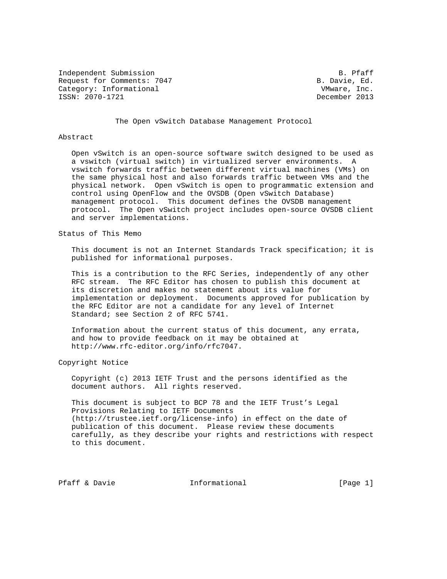Independent Submission **B. Particular B. Primary B. Primary** B. Primary B. Primary B. Primary B. Primary B. Primary B. Primary B. Primary B. Primary B. Primary B. Primary B. Primary B. Primary B. Primary B. Primary B. Prim Request for Comments: 7047 B. Davie, Ed. Category: Informational VMware, Inc.<br>
ISSN: 2070-1721<br>
December 2013 ISSN: 2070-1721

The Open vSwitch Database Management Protocol

## Abstract

 Open vSwitch is an open-source software switch designed to be used as a vswitch (virtual switch) in virtualized server environments. A vswitch forwards traffic between different virtual machines (VMs) on the same physical host and also forwards traffic between VMs and the physical network. Open vSwitch is open to programmatic extension and control using OpenFlow and the OVSDB (Open vSwitch Database) management protocol. This document defines the OVSDB management protocol. The Open vSwitch project includes open-source OVSDB client and server implementations.

### Status of This Memo

 This document is not an Internet Standards Track specification; it is published for informational purposes.

 This is a contribution to the RFC Series, independently of any other RFC stream. The RFC Editor has chosen to publish this document at its discretion and makes no statement about its value for implementation or deployment. Documents approved for publication by the RFC Editor are not a candidate for any level of Internet Standard; see Section 2 of RFC 5741.

 Information about the current status of this document, any errata, and how to provide feedback on it may be obtained at http://www.rfc-editor.org/info/rfc7047.

### Copyright Notice

 Copyright (c) 2013 IETF Trust and the persons identified as the document authors. All rights reserved.

 This document is subject to BCP 78 and the IETF Trust's Legal Provisions Relating to IETF Documents (http://trustee.ietf.org/license-info) in effect on the date of publication of this document. Please review these documents carefully, as they describe your rights and restrictions with respect to this document.

Pfaff & Davie  $I_n$  Informational [Page 1]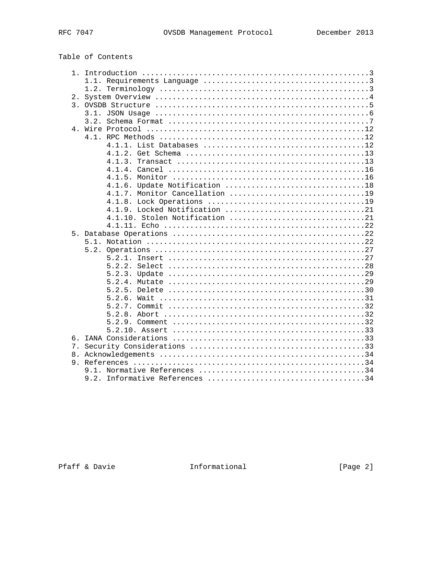| Table of Contents |  |  |  |
|-------------------|--|--|--|
|-------------------|--|--|--|

| 2.             |                                |
|----------------|--------------------------------|
| 3.             |                                |
|                |                                |
|                | 3.2.                           |
|                |                                |
|                |                                |
|                |                                |
|                |                                |
|                |                                |
|                |                                |
|                |                                |
|                |                                |
|                | 4.1.7. Monitor Cancellation 19 |
|                |                                |
|                |                                |
|                | 4.1.10. Stolen Notification 21 |
|                |                                |
|                |                                |
|                |                                |
|                |                                |
|                | 5.2.                           |
|                |                                |
|                |                                |
|                |                                |
|                |                                |
|                |                                |
|                |                                |
|                |                                |
|                |                                |
|                |                                |
|                |                                |
| б.             |                                |
| 7 <sub>1</sub> |                                |
| 8.             |                                |
|                |                                |
|                |                                |
|                | 9.2.                           |

Pfaff & Davie Theormational

[Page 2]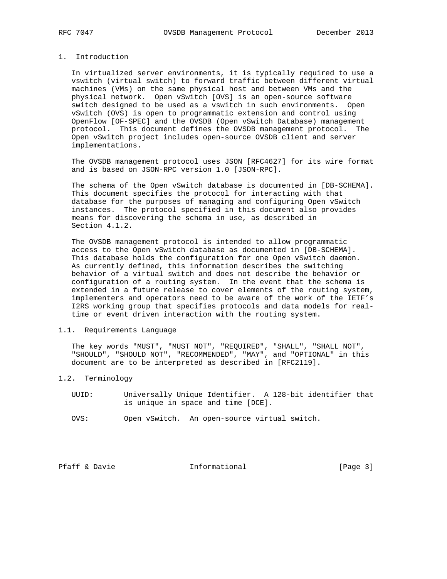# 1. Introduction

 In virtualized server environments, it is typically required to use a vswitch (virtual switch) to forward traffic between different virtual machines (VMs) on the same physical host and between VMs and the physical network. Open vSwitch [OVS] is an open-source software switch designed to be used as a vswitch in such environments. Open vSwitch (OVS) is open to programmatic extension and control using OpenFlow [OF-SPEC] and the OVSDB (Open vSwitch Database) management protocol. This document defines the OVSDB management protocol. The Open vSwitch project includes open-source OVSDB client and server implementations.

 The OVSDB management protocol uses JSON [RFC4627] for its wire format and is based on JSON-RPC version 1.0 [JSON-RPC].

 The schema of the Open vSwitch database is documented in [DB-SCHEMA]. This document specifies the protocol for interacting with that database for the purposes of managing and configuring Open vSwitch instances. The protocol specified in this document also provides means for discovering the schema in use, as described in Section 4.1.2.

 The OVSDB management protocol is intended to allow programmatic access to the Open vSwitch database as documented in [DB-SCHEMA]. This database holds the configuration for one Open vSwitch daemon. As currently defined, this information describes the switching behavior of a virtual switch and does not describe the behavior or configuration of a routing system. In the event that the schema is extended in a future release to cover elements of the routing system, implementers and operators need to be aware of the work of the IETF's I2RS working group that specifies protocols and data models for real time or event driven interaction with the routing system.

# 1.1. Requirements Language

 The key words "MUST", "MUST NOT", "REQUIRED", "SHALL", "SHALL NOT", "SHOULD", "SHOULD NOT", "RECOMMENDED", "MAY", and "OPTIONAL" in this document are to be interpreted as described in [RFC2119].

# 1.2. Terminology

- UUID: Universally Unique Identifier. A 128-bit identifier that is unique in space and time [DCE].
- OVS: Open vSwitch. An open-source virtual switch.

Pfaff & Davie **Informational** [Page 3]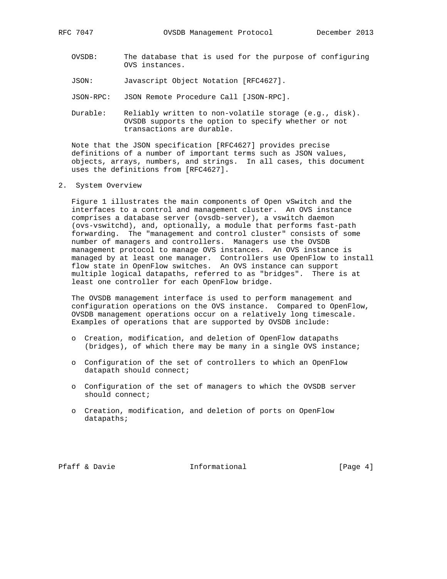- OVSDB: The database that is used for the purpose of configuring OVS instances.
- JSON: Javascript Object Notation [RFC4627].
- JSON-RPC: JSON Remote Procedure Call [JSON-RPC].
- Durable: Reliably written to non-volatile storage (e.g., disk). OVSDB supports the option to specify whether or not transactions are durable.

 Note that the JSON specification [RFC4627] provides precise definitions of a number of important terms such as JSON values, objects, arrays, numbers, and strings. In all cases, this document uses the definitions from [RFC4627].

2. System Overview

 Figure 1 illustrates the main components of Open vSwitch and the interfaces to a control and management cluster. An OVS instance comprises a database server (ovsdb-server), a vswitch daemon (ovs-vswitchd), and, optionally, a module that performs fast-path forwarding. The "management and control cluster" consists of some number of managers and controllers. Managers use the OVSDB management protocol to manage OVS instances. An OVS instance is managed by at least one manager. Controllers use OpenFlow to install flow state in OpenFlow switches. An OVS instance can support multiple logical datapaths, referred to as "bridges". There is at least one controller for each OpenFlow bridge.

 The OVSDB management interface is used to perform management and configuration operations on the OVS instance. Compared to OpenFlow, OVSDB management operations occur on a relatively long timescale. Examples of operations that are supported by OVSDB include:

- o Creation, modification, and deletion of OpenFlow datapaths (bridges), of which there may be many in a single OVS instance;
- o Configuration of the set of controllers to which an OpenFlow datapath should connect;
- o Configuration of the set of managers to which the OVSDB server should connect;
- o Creation, modification, and deletion of ports on OpenFlow datapaths;

Pfaff & Davie **Informational** [Page 4]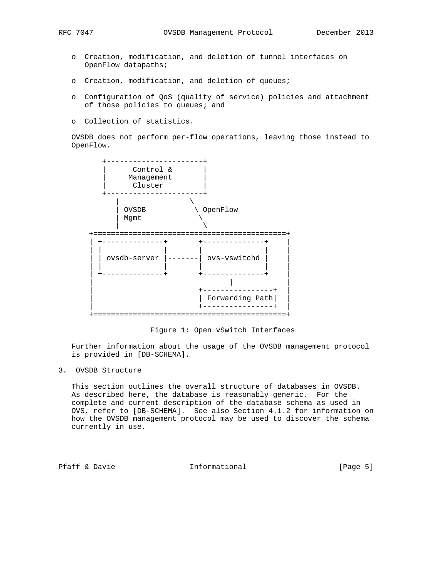- - o Creation, modification, and deletion of tunnel interfaces on OpenFlow datapaths;
	- o Creation, modification, and deletion of queues;
	- o Configuration of QoS (quality of service) policies and attachment of those policies to queues; and
	- o Collection of statistics.

 OVSDB does not perform per-flow operations, leaving those instead to OpenFlow.



Figure 1: Open vSwitch Interfaces

 Further information about the usage of the OVSDB management protocol is provided in [DB-SCHEMA].

# 3. OVSDB Structure

 This section outlines the overall structure of databases in OVSDB. As described here, the database is reasonably generic. For the complete and current description of the database schema as used in OVS, refer to [DB-SCHEMA]. See also Section 4.1.2 for information on how the OVSDB management protocol may be used to discover the schema currently in use.

Pfaff & Davie **Informational** [Page 5]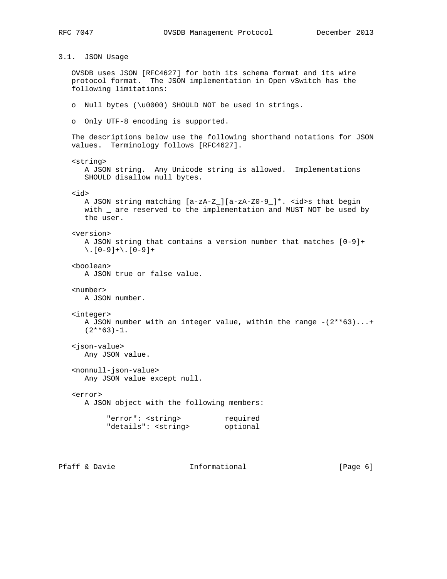3.1. JSON Usage

 OVSDB uses JSON [RFC4627] for both its schema format and its wire protocol format. The JSON implementation in Open vSwitch has the following limitations:

- o Null bytes (\u0000) SHOULD NOT be used in strings.
- o Only UTF-8 encoding is supported.

 The descriptions below use the following shorthand notations for JSON values. Terminology follows [RFC4627].

```
 <string>
```
 A JSON string. Any Unicode string is allowed. Implementations SHOULD disallow null bytes.

<id>

```
 A JSON string matching [a-zA-Z_][a-zA-Z0-9_]*. <id>s that begin
with _ are reserved to the implementation and MUST NOT be used by
 the user.
```
#### <version>

 A JSON string that contains a version number that matches [0-9]+  $\setminus$ . [0-9] + \. [0-9] +

<boolean>

```
 A JSON true or false value.
```
### <number>

A JSON number.

#### <integer>

```
A JSON number with an integer value, within the range -(2**63)...+(2**63)-1.
```
# <json-value>

Any JSON value.

 <nonnull-json-value> Any JSON value except null.

### <error>

A JSON object with the following members:

| "error": <string></string>   | required |
|------------------------------|----------|
| "details": <string></string> | optional |

Pfaff & Davie **Informational** [Page 6]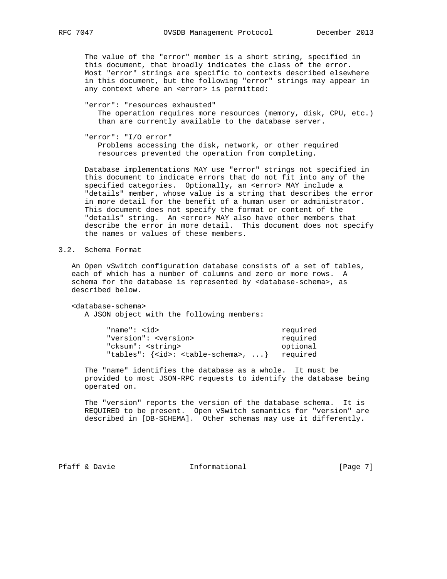The value of the "error" member is a short string, specified in this document, that broadly indicates the class of the error. Most "error" strings are specific to contexts described elsewhere in this document, but the following "error" strings may appear in any context where an <error> is permitted:

# "error": "resources exhausted"

 The operation requires more resources (memory, disk, CPU, etc.) than are currently available to the database server.

```
 "error": "I/O error"
```
 Problems accessing the disk, network, or other required resources prevented the operation from completing.

 Database implementations MAY use "error" strings not specified in this document to indicate errors that do not fit into any of the specified categories. Optionally, an <error> MAY include a "details" member, whose value is a string that describes the error in more detail for the benefit of a human user or administrator. This document does not specify the format or content of the "details" string. An <error> MAY also have other members that describe the error in more detail. This document does not specify the names or values of these members.

# 3.2. Schema Format

 An Open vSwitch configuration database consists of a set of tables, each of which has a number of columns and zero or more rows. A schema for the database is represented by <database-schema>, as described below.

<database-schema>

A JSON object with the following members:

| "name": $d$                                       | required |
|---------------------------------------------------|----------|
| "version": <version></version>                    | required |
| "cksum": <string></string>                        | optional |
| "tables": $\{ id> : table-schema >,  \}$ required |          |

 The "name" identifies the database as a whole. It must be provided to most JSON-RPC requests to identify the database being operated on.

 The "version" reports the version of the database schema. It is REQUIRED to be present. Open vSwitch semantics for "version" are described in [DB-SCHEMA]. Other schemas may use it differently.

Pfaff & Davie **Informational** [Page 7]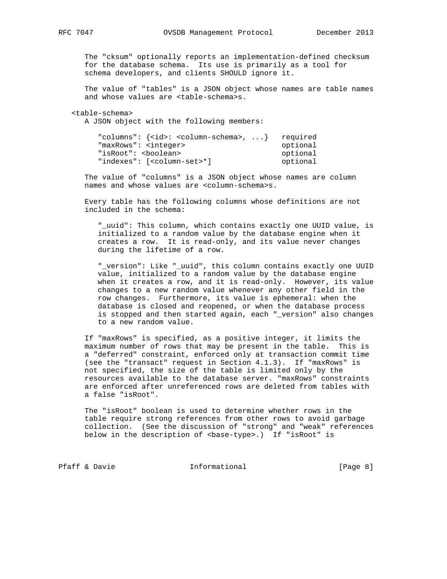The "cksum" optionally reports an implementation-defined checksum for the database schema. Its use is primarily as a tool for schema developers, and clients SHOULD ignore it.

 The value of "tables" is a JSON object whose names are table names and whose values are <table-schema>s.

#### <table-schema>

A JSON object with the following members:

| "columns": $\{ id> : colum-schema >,  \}$ required |          |
|----------------------------------------------------|----------|
| "maxRows": <integer></integer>                     | optional |
| "isRoot": <boolean></boolean>                      | optional |
| "indexes": [ <column-set>*]</column-set>           | optional |

 The value of "columns" is a JSON object whose names are column names and whose values are <column-schema>s.

 Every table has the following columns whose definitions are not included in the schema:

 "\_uuid": This column, which contains exactly one UUID value, is initialized to a random value by the database engine when it creates a row. It is read-only, and its value never changes during the lifetime of a row.

 "\_version": Like "\_uuid", this column contains exactly one UUID value, initialized to a random value by the database engine when it creates a row, and it is read-only. However, its value changes to a new random value whenever any other field in the row changes. Furthermore, its value is ephemeral: when the database is closed and reopened, or when the database process is stopped and then started again, each "\_version" also changes to a new random value.

 If "maxRows" is specified, as a positive integer, it limits the maximum number of rows that may be present in the table. This is a "deferred" constraint, enforced only at transaction commit time (see the "transact" request in Section 4.1.3). If "maxRows" is not specified, the size of the table is limited only by the resources available to the database server. "maxRows" constraints are enforced after unreferenced rows are deleted from tables with a false "isRoot".

 The "isRoot" boolean is used to determine whether rows in the table require strong references from other rows to avoid garbage collection. (See the discussion of "strong" and "weak" references below in the description of <br/>base-type>.) If "isRoot" is

Pfaff & Davie **Informational** [Page 8]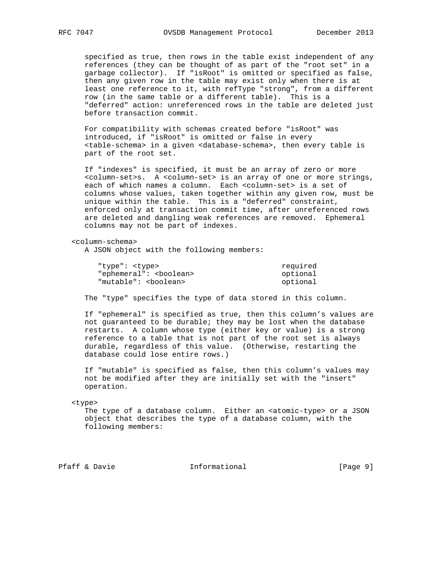specified as true, then rows in the table exist independent of any references (they can be thought of as part of the "root set" in a garbage collector). If "isRoot" is omitted or specified as false, then any given row in the table may exist only when there is at least one reference to it, with refType "strong", from a different row (in the same table or a different table). This is a "deferred" action: unreferenced rows in the table are deleted just before transaction commit.

 For compatibility with schemas created before "isRoot" was introduced, if "isRoot" is omitted or false in every <table-schema> in a given <database-schema>, then every table is part of the root set.

 If "indexes" is specified, it must be an array of zero or more <column-set>s. A <column-set> is an array of one or more strings, each of which names a column. Each <column-set> is a set of columns whose values, taken together within any given row, must be unique within the table. This is a "deferred" constraint, enforced only at transaction commit time, after unreferenced rows are deleted and dangling weak references are removed. Ephemeral columns may not be part of indexes.

<column-schema>

A JSON object with the following members:

| "type": <type></type>            | required |
|----------------------------------|----------|
| "ephemeral": <boolean></boolean> | optional |
| "mutable": <boolean></boolean>   | optional |

The "type" specifies the type of data stored in this column.

 If "ephemeral" is specified as true, then this column's values are not guaranteed to be durable; they may be lost when the database restarts. A column whose type (either key or value) is a strong reference to a table that is not part of the root set is always durable, regardless of this value. (Otherwise, restarting the database could lose entire rows.)

 If "mutable" is specified as false, then this column's values may not be modified after they are initially set with the "insert" operation.

<type>

The type of a database column. Either an <atomic-type> or a JSON object that describes the type of a database column, with the following members:

Pfaff & Davie **Informational** [Page 9]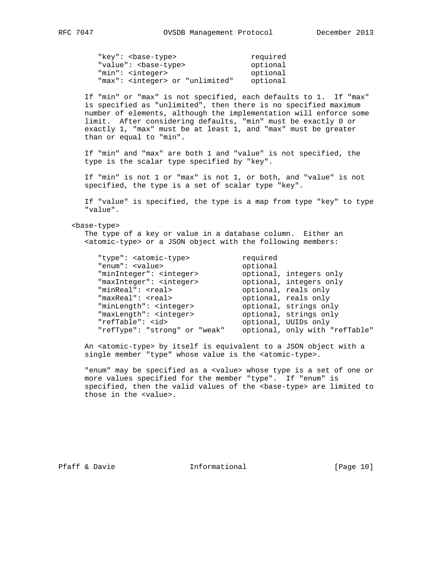| "key": <base-type></base-type>            | required |
|-------------------------------------------|----------|
| "value": <base-type></base-type>          | optional |
| "min": <integer></integer>                | optional |
| "max": <integer> or "unlimited"</integer> | optional |

 If "min" or "max" is not specified, each defaults to 1. If "max" is specified as "unlimited", then there is no specified maximum number of elements, although the implementation will enforce some limit. After considering defaults, "min" must be exactly 0 or exactly 1, "max" must be at least 1, and "max" must be greater than or equal to "min".

 If "min" and "max" are both 1 and "value" is not specified, the type is the scalar type specified by "key".

 If "min" is not 1 or "max" is not 1, or both, and "value" is not specified, the type is a set of scalar type "key".

 If "value" is specified, the type is a map from type "key" to type "value".

#### <base-type>

 The type of a key or value in a database column. Either an <atomic-type> or a JSON object with the following members:

| "type": <atomic-type></atomic-type> | required                       |
|-------------------------------------|--------------------------------|
| "enum": <value></value>             | optional                       |
| "minInteger": <integer></integer>   | optional, integers only        |
| "maxInteger": <integer></integer>   | optional, integers only        |
| "minReal": <real></real>            | optional, reals only           |
| "maxReal": <real></real>            | optional, reals only           |
| "minLength": <integer></integer>    | optional, strings only         |
| "maxLength": <integer></integer>    | optional, strings only         |
| "refTable": <id></id>               | optional, UUIDs only           |
| "refType": "strong" or "weak"       | optional, only with "refTable" |

 An <atomic-type> by itself is equivalent to a JSON object with a single member "type" whose value is the <atomic-type>.

 "enum" may be specified as a <value> whose type is a set of one or more values specified for the member "type". If "enum" is specified, then the valid values of the <base-type> are limited to those in the <value>.

Pfaff & Davie Informational [Page 10]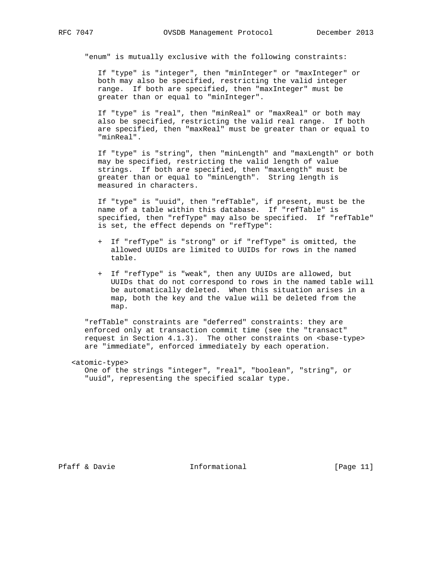"enum" is mutually exclusive with the following constraints:

 If "type" is "integer", then "minInteger" or "maxInteger" or both may also be specified, restricting the valid integer range. If both are specified, then "maxInteger" must be greater than or equal to "minInteger".

 If "type" is "real", then "minReal" or "maxReal" or both may also be specified, restricting the valid real range. If both are specified, then "maxReal" must be greater than or equal to "minReal".

 If "type" is "string", then "minLength" and "maxLength" or both may be specified, restricting the valid length of value strings. If both are specified, then "maxLength" must be greater than or equal to "minLength". String length is measured in characters.

> If "type" is "uuid", then "refTable", if present, must be the name of a table within this database. If "refTable" is specified, then "refType" may also be specified. If "refTable" is set, the effect depends on "refType":

- + If "refType" is "strong" or if "refType" is omitted, the allowed UUIDs are limited to UUIDs for rows in the named table.
- + If "refType" is "weak", then any UUIDs are allowed, but UUIDs that do not correspond to rows in the named table will be automatically deleted. When this situation arises in a map, both the key and the value will be deleted from the map.

 "refTable" constraints are "deferred" constraints: they are enforced only at transaction commit time (see the "transact" request in Section  $4.1.3$ ). The other constraints on  $\zeta$  -base-type> are "immediate", enforced immediately by each operation.

<atomic-type>

 One of the strings "integer", "real", "boolean", "string", or "uuid", representing the specified scalar type.

Pfaff & Davie **Informational** [Page 11]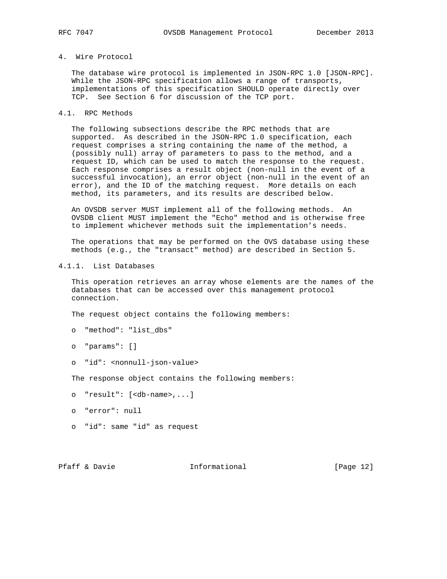# 4. Wire Protocol

 The database wire protocol is implemented in JSON-RPC 1.0 [JSON-RPC]. While the JSON-RPC specification allows a range of transports, implementations of this specification SHOULD operate directly over TCP. See Section 6 for discussion of the TCP port.

# 4.1. RPC Methods

 The following subsections describe the RPC methods that are supported. As described in the JSON-RPC 1.0 specification, each request comprises a string containing the name of the method, a (possibly null) array of parameters to pass to the method, and a request ID, which can be used to match the response to the request. Each response comprises a result object (non-null in the event of a successful invocation), an error object (non-null in the event of an error), and the ID of the matching request. More details on each method, its parameters, and its results are described below.

 An OVSDB server MUST implement all of the following methods. An OVSDB client MUST implement the "Echo" method and is otherwise free to implement whichever methods suit the implementation's needs.

 The operations that may be performed on the OVS database using these methods (e.g., the "transact" method) are described in Section 5.

4.1.1. List Databases

 This operation retrieves an array whose elements are the names of the databases that can be accessed over this management protocol connection.

The request object contains the following members:

- o "method": "list\_dbs"
- o "params": []
- o "id": <nonnull-json-value>

The response object contains the following members:

o "result": [<db-name>,...]

- o "error": null
- o "id": same "id" as request

Pfaff & Davie **Informational** [Page 12]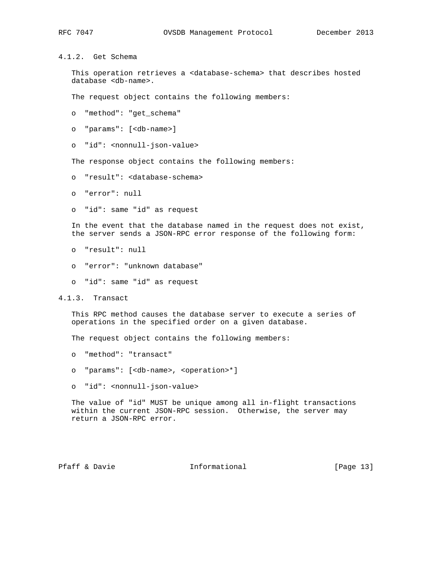# 4.1.2. Get Schema

 This operation retrieves a <database-schema> that describes hosted database <db-name>.

The request object contains the following members:

o "method": "get\_schema"

o "params": [<db-name>]

o "id": <nonnull-json-value>

The response object contains the following members:

- o "result": <database-schema>
- o "error": null
- o "id": same "id" as request

 In the event that the database named in the request does not exist, the server sends a JSON-RPC error response of the following form:

- o "result": null
- o "error": "unknown database"
- o "id": same "id" as request

4.1.3. Transact

 This RPC method causes the database server to execute a series of operations in the specified order on a given database.

The request object contains the following members:

- o "method": "transact"
- o "params": [<db-name>, <operation>\*]
- o "id": <nonnull-json-value>

 The value of "id" MUST be unique among all in-flight transactions within the current JSON-RPC session. Otherwise, the server may return a JSON-RPC error.

Pfaff & Davie **Informational** [Page 13]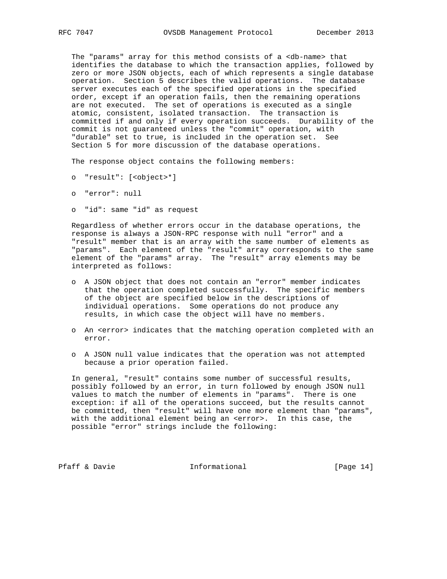The "params" array for this method consists of a <db-name> that identifies the database to which the transaction applies, followed by zero or more JSON objects, each of which represents a single database operation. Section 5 describes the valid operations. The database server executes each of the specified operations in the specified order, except if an operation fails, then the remaining operations are not executed. The set of operations is executed as a single atomic, consistent, isolated transaction. The transaction is committed if and only if every operation succeeds. Durability of the commit is not guaranteed unless the "commit" operation, with "durable" set to true, is included in the operation set. See Section 5 for more discussion of the database operations.

The response object contains the following members:

- o "result": [<object>\*]
- o "error": null
- o "id": same "id" as request

 Regardless of whether errors occur in the database operations, the response is always a JSON-RPC response with null "error" and a "result" member that is an array with the same number of elements as "params". Each element of the "result" array corresponds to the same element of the "params" array. The "result" array elements may be interpreted as follows:

- o A JSON object that does not contain an "error" member indicates that the operation completed successfully. The specific members of the object are specified below in the descriptions of individual operations. Some operations do not produce any results, in which case the object will have no members.
- o An <error> indicates that the matching operation completed with an error.
- o A JSON null value indicates that the operation was not attempted because a prior operation failed.

 In general, "result" contains some number of successful results, possibly followed by an error, in turn followed by enough JSON null values to match the number of elements in "params". There is one exception: if all of the operations succeed, but the results cannot be committed, then "result" will have one more element than "params", with the additional element being an <error>. In this case, the possible "error" strings include the following:

Pfaff & Davie **Informational** [Page 14]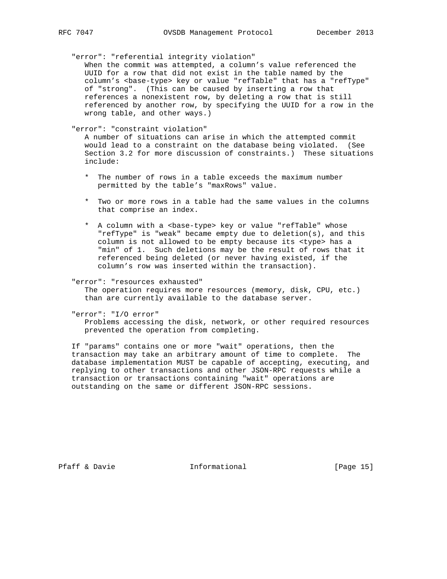"error": "referential integrity violation"

 When the commit was attempted, a column's value referenced the UUID for a row that did not exist in the table named by the column's <base-type> key or value "refTable" that has a "refType" of "strong". (This can be caused by inserting a row that references a nonexistent row, by deleting a row that is still referenced by another row, by specifying the UUID for a row in the wrong table, and other ways.)

"error": "constraint violation"

 A number of situations can arise in which the attempted commit would lead to a constraint on the database being violated. (See Section 3.2 for more discussion of constraints.) These situations include:

- \* The number of rows in a table exceeds the maximum number permitted by the table's "maxRows" value.
- \* Two or more rows in a table had the same values in the columns that comprise an index.
- \* A column with a <br>>base-type> key or value "refTable" whose "refType" is "weak" became empty due to deletion(s), and this column is not allowed to be empty because its <type> has a "min" of 1. Such deletions may be the result of rows that it referenced being deleted (or never having existed, if the column's row was inserted within the transaction).

#### "error": "resources exhausted"

 The operation requires more resources (memory, disk, CPU, etc.) than are currently available to the database server.

"error": "I/O error"

 Problems accessing the disk, network, or other required resources prevented the operation from completing.

 If "params" contains one or more "wait" operations, then the transaction may take an arbitrary amount of time to complete. The database implementation MUST be capable of accepting, executing, and replying to other transactions and other JSON-RPC requests while a transaction or transactions containing "wait" operations are outstanding on the same or different JSON-RPC sessions.

Pfaff & Davie **Informational** [Page 15]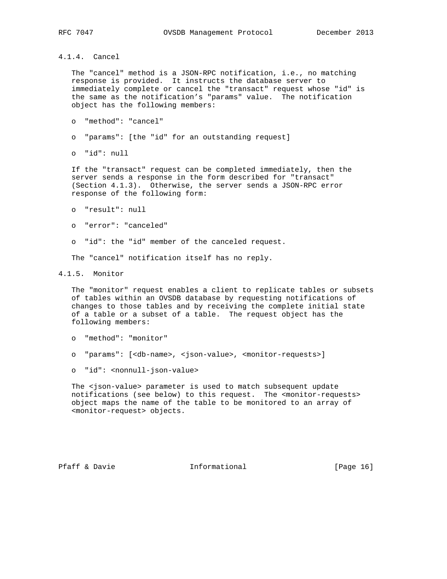4.1.4. Cancel

 The "cancel" method is a JSON-RPC notification, i.e., no matching response is provided. It instructs the database server to immediately complete or cancel the "transact" request whose "id" is the same as the notification's "params" value. The notification object has the following members:

- o "method": "cancel"
- o "params": [the "id" for an outstanding request]
- o "id": null

 If the "transact" request can be completed immediately, then the server sends a response in the form described for "transact" (Section 4.1.3). Otherwise, the server sends a JSON-RPC error response of the following form:

- o "result": null
- o "error": "canceled"
- o "id": the "id" member of the canceled request.

The "cancel" notification itself has no reply.

4.1.5. Monitor

 The "monitor" request enables a client to replicate tables or subsets of tables within an OVSDB database by requesting notifications of changes to those tables and by receiving the complete initial state of a table or a subset of a table. The request object has the following members:

- o "method": "monitor"
- o "params": [<db-name>, <json-value>, <monitor-requests>]
- o "id": <nonnull-json-value>

 The <json-value> parameter is used to match subsequent update notifications (see below) to this request. The <monitor-requests> object maps the name of the table to be monitored to an array of <monitor-request> objects.

Pfaff & Davie Informational [Page 16]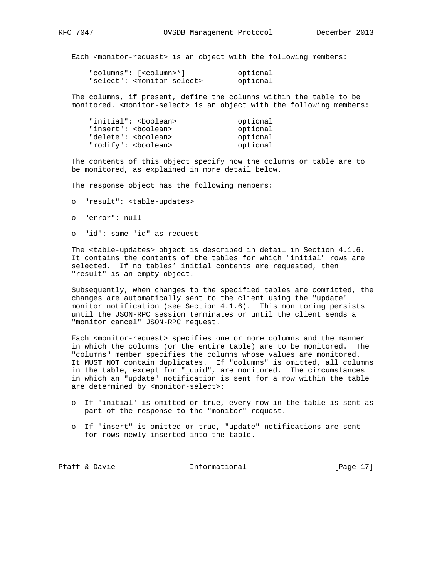Each <monitor-request> is an object with the following members:

| "columns": [ <column>*]</column>            | optional |
|---------------------------------------------|----------|
| "select": <monitor-select></monitor-select> | optional |

 The columns, if present, define the columns within the table to be monitored. <monitor-select> is an object with the following members:

| "initial": <boolean></boolean> | optional |
|--------------------------------|----------|
| "insert": <boolean></boolean>  | optional |
| "delete": <boolean></boolean>  | optional |
| "modify": <boolean></boolean>  | optional |

 The contents of this object specify how the columns or table are to be monitored, as explained in more detail below.

The response object has the following members:

- o "result": <table-updates>
- o "error": null
- o "id": same "id" as request

 The <table-updates> object is described in detail in Section 4.1.6. It contains the contents of the tables for which "initial" rows are selected. If no tables' initial contents are requested, then "result" is an empty object.

 Subsequently, when changes to the specified tables are committed, the changes are automatically sent to the client using the "update" monitor notification (see Section 4.1.6). This monitoring persists until the JSON-RPC session terminates or until the client sends a "monitor\_cancel" JSON-RPC request.

 Each <monitor-request> specifies one or more columns and the manner in which the columns (or the entire table) are to be monitored. The "columns" member specifies the columns whose values are monitored. It MUST NOT contain duplicates. If "columns" is omitted, all columns in the table, except for "\_uuid", are monitored. The circumstances in which an "update" notification is sent for a row within the table are determined by <monitor-select>:

- o If "initial" is omitted or true, every row in the table is sent as part of the response to the "monitor" request.
- o If "insert" is omitted or true, "update" notifications are sent for rows newly inserted into the table.

Pfaff & Davie **Informational** [Page 17]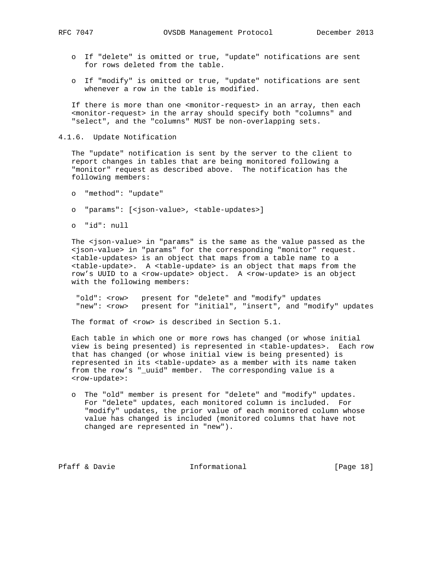- o If "delete" is omitted or true, "update" notifications are sent for rows deleted from the table.
- o If "modify" is omitted or true, "update" notifications are sent whenever a row in the table is modified.

 If there is more than one <monitor-request> in an array, then each <monitor-request> in the array should specify both "columns" and "select", and the "columns" MUST be non-overlapping sets.

4.1.6. Update Notification

 The "update" notification is sent by the server to the client to report changes in tables that are being monitored following a "monitor" request as described above. The notification has the following members:

- o "method": "update"
- o "params": [<json-value>, <table-updates>]
- o "id": null

 The <json-value> in "params" is the same as the value passed as the <json-value> in "params" for the corresponding "monitor" request. <table-updates> is an object that maps from a table name to a <table-update>. A <table-update> is an object that maps from the row's UUID to a <row-update> object. A <row-update> is an object with the following members:

"old": <row> present for "delete" and "modify" updates "new": <row> present for "initial", "insert", and "modify" updates

The format of <row> is described in Section 5.1.

 Each table in which one or more rows has changed (or whose initial view is being presented) is represented in <table-updates>. Each row that has changed (or whose initial view is being presented) is represented in its <table-update> as a member with its name taken from the row's "\_uuid" member. The corresponding value is a <row-update>:

 o The "old" member is present for "delete" and "modify" updates. For "delete" updates, each monitored column is included. For "modify" updates, the prior value of each monitored column whose value has changed is included (monitored columns that have not changed are represented in "new").

Pfaff & Davie **Informational** [Page 18]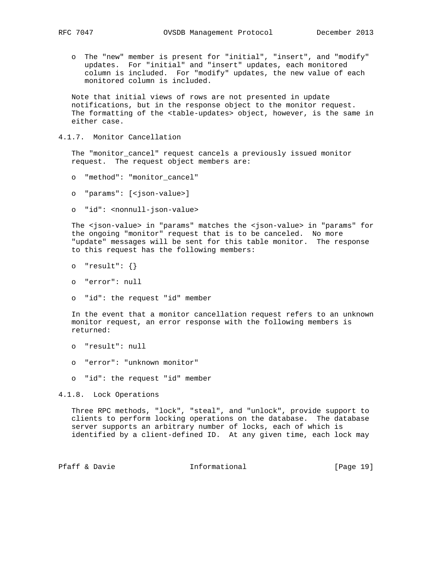o The "new" member is present for "initial", "insert", and "modify" updates. For "initial" and "insert" updates, each monitored column is included. For "modify" updates, the new value of each monitored column is included.

 Note that initial views of rows are not presented in update notifications, but in the response object to the monitor request. The formatting of the <table-updates> object, however, is the same in either case.

4.1.7. Monitor Cancellation

 The "monitor\_cancel" request cancels a previously issued monitor request. The request object members are:

- o "method": "monitor\_cancel"
- o "params": [<json-value>]
- o "id": <nonnull-json-value>

 The <json-value> in "params" matches the <json-value> in "params" for the ongoing "monitor" request that is to be canceled. No more "update" messages will be sent for this table monitor. The response to this request has the following members:

- o "result": {}
- o "error": null
- o "id": the request "id" member

 In the event that a monitor cancellation request refers to an unknown monitor request, an error response with the following members is returned:

- o "result": null
- o "error": "unknown monitor"
- o "id": the request "id" member

4.1.8. Lock Operations

 Three RPC methods, "lock", "steal", and "unlock", provide support to clients to perform locking operations on the database. The database server supports an arbitrary number of locks, each of which is identified by a client-defined ID. At any given time, each lock may

Pfaff & Davie **Informational** [Page 19]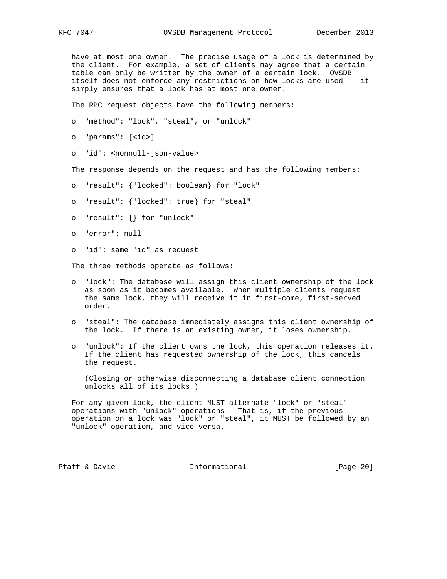have at most one owner. The precise usage of a lock is determined by the client. For example, a set of clients may agree that a certain table can only be written by the owner of a certain lock. OVSDB itself does not enforce any restrictions on how locks are used -- it simply ensures that a lock has at most one owner.

The RPC request objects have the following members:

o "method": "lock", "steal", or "unlock"

```
 o "params": [<id>]
```
o "id": <nonnull-json-value>

The response depends on the request and has the following members:

- o "result": {"locked": boolean} for "lock"
- o "result": {"locked": true} for "steal"
- o "result": {} for "unlock"
- o "error": null
- o "id": same "id" as request

The three methods operate as follows:

- o "lock": The database will assign this client ownership of the lock as soon as it becomes available. When multiple clients request the same lock, they will receive it in first-come, first-served order.
- o "steal": The database immediately assigns this client ownership of the lock. If there is an existing owner, it loses ownership.
- o "unlock": If the client owns the lock, this operation releases it. If the client has requested ownership of the lock, this cancels the request.

 (Closing or otherwise disconnecting a database client connection unlocks all of its locks.)

 For any given lock, the client MUST alternate "lock" or "steal" operations with "unlock" operations. That is, if the previous operation on a lock was "lock" or "steal", it MUST be followed by an "unlock" operation, and vice versa.

Pfaff & Davie **Informational** [Page 20]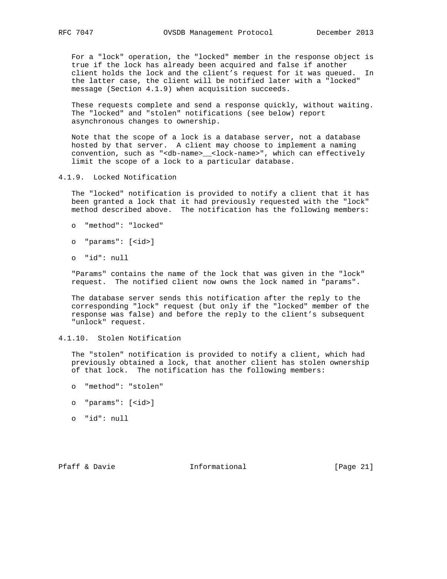For a "lock" operation, the "locked" member in the response object is true if the lock has already been acquired and false if another client holds the lock and the client's request for it was queued. In the latter case, the client will be notified later with a "locked" message (Section 4.1.9) when acquisition succeeds.

 These requests complete and send a response quickly, without waiting. The "locked" and "stolen" notifications (see below) report asynchronous changes to ownership.

 Note that the scope of a lock is a database server, not a database hosted by that server. A client may choose to implement a naming convention, such as "<db-name>\_\_<lock-name>", which can effectively limit the scope of a lock to a particular database.

4.1.9. Locked Notification

 The "locked" notification is provided to notify a client that it has been granted a lock that it had previously requested with the "lock" method described above. The notification has the following members:

- o "method": "locked"
- o "params": [<id>]
- o "id": null

 "Params" contains the name of the lock that was given in the "lock" request. The notified client now owns the lock named in "params".

 The database server sends this notification after the reply to the corresponding "lock" request (but only if the "locked" member of the response was false) and before the reply to the client's subsequent "unlock" request.

4.1.10. Stolen Notification

 The "stolen" notification is provided to notify a client, which had previously obtained a lock, that another client has stolen ownership of that lock. The notification has the following members:

- o "method": "stolen"
- o "params": [<id>]
- o "id": null

Pfaff & Davie **Informational** [Page 21]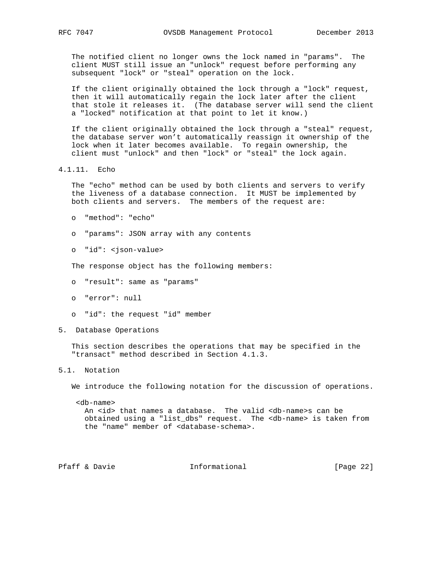The notified client no longer owns the lock named in "params". The client MUST still issue an "unlock" request before performing any subsequent "lock" or "steal" operation on the lock.

 If the client originally obtained the lock through a "lock" request, then it will automatically regain the lock later after the client that stole it releases it. (The database server will send the client a "locked" notification at that point to let it know.)

 If the client originally obtained the lock through a "steal" request, the database server won't automatically reassign it ownership of the lock when it later becomes available. To regain ownership, the client must "unlock" and then "lock" or "steal" the lock again.

4.1.11. Echo

 The "echo" method can be used by both clients and servers to verify the liveness of a database connection. It MUST be implemented by both clients and servers. The members of the request are:

- o "method": "echo"
- o "params": JSON array with any contents
- o "id": <json-value>

The response object has the following members:

- o "result": same as "params"
- o "error": null
- o "id": the request "id" member
- 5. Database Operations

 This section describes the operations that may be specified in the "transact" method described in Section 4.1.3.

# 5.1. Notation

We introduce the following notation for the discussion of operations.

 <db-name> An <id> that names a database. The valid <db-name>s can be obtained using a "list\_dbs" request. The <db-name> is taken from the "name" member of <database-schema>.

Pfaff & Davie **Informational** [Page 22]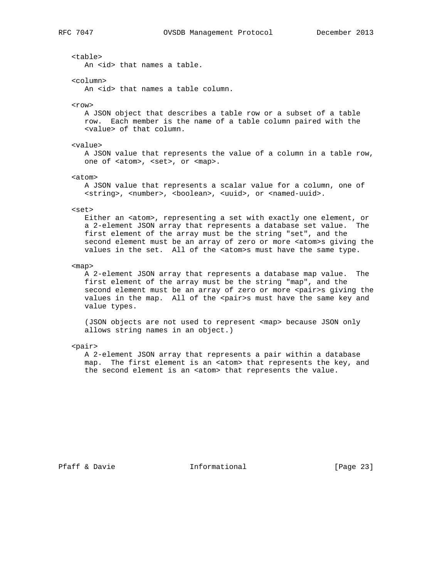<table>

An <id> that names a table.

<column>

An <id> that names a table column.

 $<$ row $>$ 

 A JSON object that describes a table row or a subset of a table row. Each member is the name of a table column paired with the <value> of that column.

<value>

 A JSON value that represents the value of a column in a table row, one of <atom>, <set>, or <map>.

<atom>

 A JSON value that represents a scalar value for a column, one of <string>, <number>, <boolean>, <uuid>, or <named-uuid>.

#### <set>

Either an <atom>, representing a set with exactly one element, or a 2-element JSON array that represents a database set value. The first element of the array must be the string "set", and the second element must be an array of zero or more <atom>s giving the values in the set. All of the <atom>s must have the same type.

<map>

 A 2-element JSON array that represents a database map value. The first element of the array must be the string "map", and the second element must be an array of zero or more <pair>s giving the values in the map. All of the <pair>s must have the same key and value types.

 (JSON objects are not used to represent <map> because JSON only allows string names in an object.)

### <pair>

 A 2-element JSON array that represents a pair within a database map. The first element is an <atom> that represents the key, and the second element is an <atom> that represents the value.

Pfaff & Davie **Informational** [Page 23]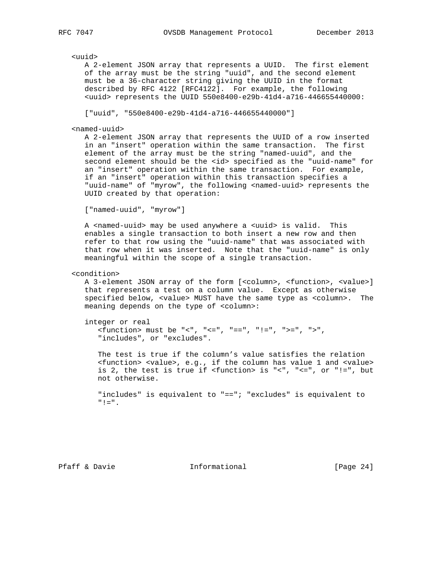### <uuid>

 A 2-element JSON array that represents a UUID. The first element of the array must be the string "uuid", and the second element must be a 36-character string giving the UUID in the format described by RFC 4122 [RFC4122]. For example, the following <uuid> represents the UUID 550e8400-e29b-41d4-a716-446655440000:

["uuid", "550e8400-e29b-41d4-a716-446655440000"]

### <named-uuid>

 A 2-element JSON array that represents the UUID of a row inserted in an "insert" operation within the same transaction. The first element of the array must be the string "named-uuid", and the second element should be the <id> specified as the "uuid-name" for an "insert" operation within the same transaction. For example, if an "insert" operation within this transaction specifies a "uuid-name" of "myrow", the following <named-uuid> represents the UUID created by that operation:

["named-uuid", "myrow"]

 A <named-uuid> may be used anywhere a <uuid> is valid. This enables a single transaction to both insert a new row and then refer to that row using the "uuid-name" that was associated with that row when it was inserted. Note that the "uuid-name" is only meaningful within the scope of a single transaction.

<condition>

 A 3-element JSON array of the form [<column>, <function>, <value>] that represents a test on a column value. Except as otherwise specified below, <value> MUST have the same type as <column>. The meaning depends on the type of <column>:

integer or real

 <function> must be "<", "<=", "==", "!=", ">=", ">", "includes", or "excludes".

 The test is true if the column's value satisfies the relation <function> <value>, e.g., if the column has value 1 and <value> is 2, the test is true if <function> is "<", "<=", or "!=", but not otherwise.

 "includes" is equivalent to "=="; "excludes" is equivalent to "!=".

Pfaff & Davie **Informational** [Page 24]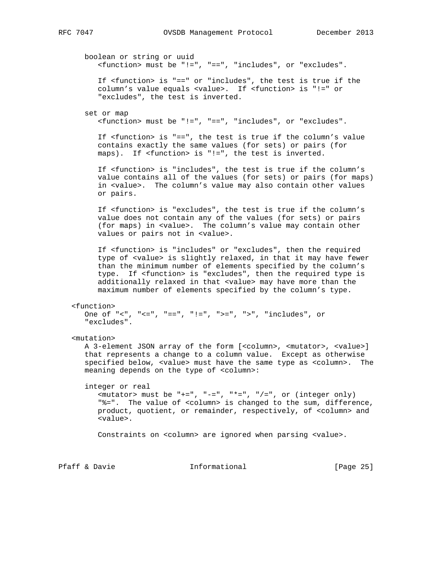boolean or string or uuid <function> must be "!=", "==", "includes", or "excludes". If <function> is "==" or "includes", the test is true if the column's value equals <value>. If <function> is "!=" or "excludes", the test is inverted. set or map <function> must be "!=", "==", "includes", or "excludes". If <function> is "==", the test is true if the column's value contains exactly the same values (for sets) or pairs (for maps). If <function> is "!=", the test is inverted. If <function> is "includes", the test is true if the column's value contains all of the values (for sets) or pairs (for maps) in <value>. The column's value may also contain other values or pairs. If <function> is "excludes", the test is true if the column's value does not contain any of the values (for sets) or pairs (for maps) in <value>. The column's value may contain other values or pairs not in <value>. If <function> is "includes" or "excludes", then the required type of <value> is slightly relaxed, in that it may have fewer than the minimum number of elements specified by the column's type. If <function> is "excludes", then the required type is additionally relaxed in that <value> may have more than the maximum number of elements specified by the column's type. <function> One of "<", "<=", "==", "!=", ">=", ">", "includes", or "excludes". <mutation> A 3-element JSON array of the form [<column>, <mutator>, <value>] that represents a change to a column value. Except as otherwise specified below, <value> must have the same type as <column>. The meaning depends on the type of <column>: integer or real  $\langle$ mutator> must be "+=", "-=", "\*=", "/=", or (integer only) "%=". The value of <column> is changed to the sum, difference, product, quotient, or remainder, respectively, of <column> and <value>. Constraints on <column> are ignored when parsing <value>.

Pfaff & Davie **Informational** [Page 25]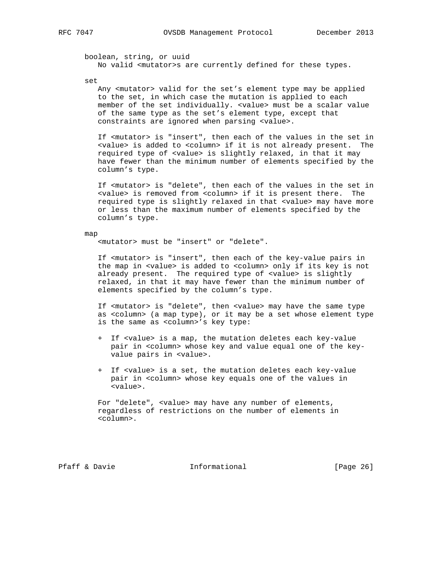boolean, string, or uuid No valid <mutator>s are currently defined for these types.

set

Any <mutator> valid for the set's element type may be applied to the set, in which case the mutation is applied to each member of the set individually. <value> must be a scalar value of the same type as the set's element type, except that constraints are ignored when parsing <value>.

 If <mutator> is "insert", then each of the values in the set in <value> is added to <column> if it is not already present. The required type of <value> is slightly relaxed, in that it may have fewer than the minimum number of elements specified by the column's type.

 If <mutator> is "delete", then each of the values in the set in <value> is removed from <column> if it is present there. The required type is slightly relaxed in that <value> may have more or less than the maximum number of elements specified by the column's type.

#### map

<mutator> must be "insert" or "delete".

 If <mutator> is "insert", then each of the key-value pairs in the map in <value> is added to <column> only if its key is not already present. The required type of <value> is slightly relaxed, in that it may have fewer than the minimum number of elements specified by the column's type.

 If <mutator> is "delete", then <value> may have the same type as <column> (a map type), or it may be a set whose element type is the same as <column>'s key type:

- + If <value> is a map, the mutation deletes each key-value pair in <column> whose key and value equal one of the key value pairs in <value>.
- + If <value> is a set, the mutation deletes each key-value pair in <column> whose key equals one of the values in <value>.

 For "delete", <value> may have any number of elements, regardless of restrictions on the number of elements in <column>.

Pfaff & Davie **Informational** [Page 26]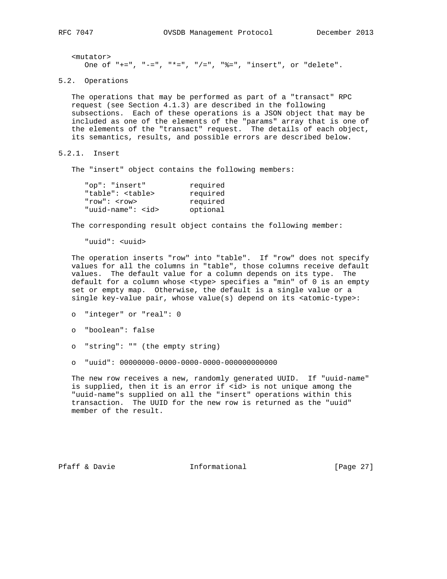<mutator> One of "+=", "-=", "\*=", "/=", "%=", "insert", or "delete".

5.2. Operations

 The operations that may be performed as part of a "transact" RPC request (see Section 4.1.3) are described in the following subsections. Each of these operations is a JSON object that may be included as one of the elements of the "params" array that is one of the elements of the "transact" request. The details of each object, its semantics, results, and possible errors are described below.

5.2.1. Insert

The "insert" object contains the following members:

| required |
|----------|
| required |
| required |
| optional |
|          |

The corresponding result object contains the following member:

"uuid": <uuid>

 The operation inserts "row" into "table". If "row" does not specify values for all the columns in "table", those columns receive default values. The default value for a column depends on its type. The default for a column whose <type> specifies a "min" of 0 is an empty set or empty map. Otherwise, the default is a single value or a single key-value pair, whose value(s) depend on its <atomic-type>:

```
 o "integer" or "real": 0
```
- o "boolean": false
- o "string": "" (the empty string)
- o "uuid": 00000000-0000-0000-0000-000000000000

 The new row receives a new, randomly generated UUID. If "uuid-name" is supplied, then it is an error if <id> is not unique among the "uuid-name"s supplied on all the "insert" operations within this transaction. The UUID for the new row is returned as the "uuid" member of the result.

Pfaff & Davie **Informational** [Page 27]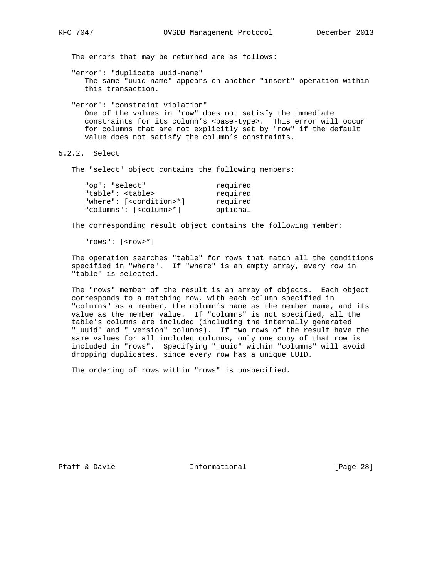The errors that may be returned are as follows:

 "error": "duplicate uuid-name" The same "uuid-name" appears on another "insert" operation within this transaction.

 "error": "constraint violation" One of the values in "row" does not satisfy the immediate constraints for its column's <br/>base-type>. This error will occur for columns that are not explicitly set by "row" if the default value does not satisfy the column's constraints.

```
5.2.2. Select
```
The "select" object contains the following members:

| "op": "select"                       | required |
|--------------------------------------|----------|
| "table": <table></table>             | required |
| "where": [ <condition>*]</condition> | required |
| "columns": [ <column>*]</column>     | optional |

The corresponding result object contains the following member:

"rows": [<row>\*]

 The operation searches "table" for rows that match all the conditions specified in "where". If "where" is an empty array, every row in "table" is selected.

 The "rows" member of the result is an array of objects. Each object corresponds to a matching row, with each column specified in "columns" as a member, the column's name as the member name, and its value as the member value. If "columns" is not specified, all the table's columns are included (including the internally generated "\_uuid" and "\_version" columns). If two rows of the result have the same values for all included columns, only one copy of that row is included in "rows". Specifying "\_uuid" within "columns" will avoid dropping duplicates, since every row has a unique UUID.

The ordering of rows within "rows" is unspecified.

Pfaff & Davie **Informational** [Page 28]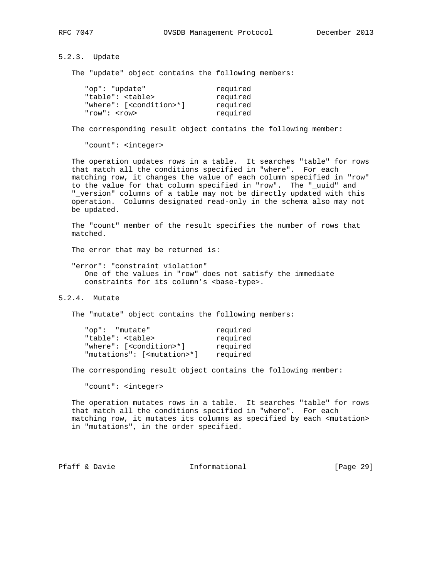5.2.3. Update

The "update" object contains the following members:

| "op": "update"                       | required |
|--------------------------------------|----------|
| "table": <table></table>             | required |
| "where": [ <condition>*]</condition> | required |
| "row": $<$ row>                      | required |

The corresponding result object contains the following member:

"count": <integer>

 The operation updates rows in a table. It searches "table" for rows that match all the conditions specified in "where". For each matching row, it changes the value of each column specified in "row" to the value for that column specified in "row". The "\_uuid" and "\_version" columns of a table may not be directly updated with this operation. Columns designated read-only in the schema also may not be updated.

 The "count" member of the result specifies the number of rows that matched.

The error that may be returned is:

 "error": "constraint violation" One of the values in "row" does not satisfy the immediate constraints for its column's <br/>base-type>.

5.2.4. Mutate

The "mutate" object contains the following members:

| "op": "mutate"                         | required |
|----------------------------------------|----------|
| "table": <table></table>               | required |
| "where": [ <condition>*]</condition>   | required |
| "mutations": [ <mutation>*]</mutation> | required |

The corresponding result object contains the following member:

"count": <integer>

 The operation mutates rows in a table. It searches "table" for rows that match all the conditions specified in "where". For each matching row, it mutates its columns as specified by each <mutation> in "mutations", in the order specified.

Pfaff & Davie Informational [Page 29]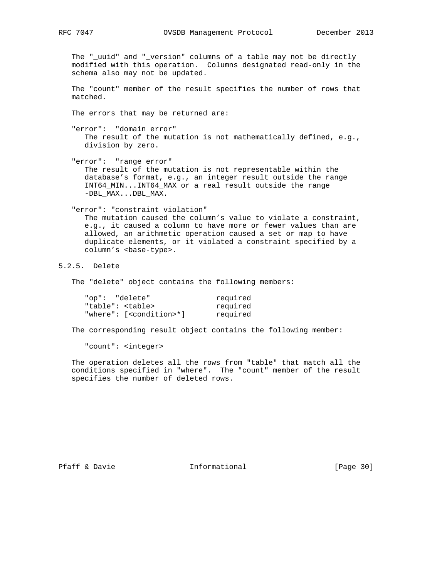The "\_uuid" and "\_version" columns of a table may not be directly modified with this operation. Columns designated read-only in the schema also may not be updated.

 The "count" member of the result specifies the number of rows that matched.

The errors that may be returned are:

 "error": "domain error" The result of the mutation is not mathematically defined, e.g., division by zero.

 "error": "range error" The result of the mutation is not representable within the database's format, e.g., an integer result outside the range INT64\_MIN...INT64\_MAX or a real result outside the range -DBL\_MAX...DBL\_MAX.

 "error": "constraint violation" The mutation caused the column's value to violate a constraint, e.g., it caused a column to have more or fewer values than are allowed, an arithmetic operation caused a set or map to have duplicate elements, or it violated a constraint specified by a column's <base-type>.

# 5.2.5. Delete

The "delete" object contains the following members:

| "op": "delete"                       | required |
|--------------------------------------|----------|
| "table": <table></table>             | required |
| "where": [ <condition>*]</condition> | required |

The corresponding result object contains the following member:

"count": <integer>

 The operation deletes all the rows from "table" that match all the conditions specified in "where". The "count" member of the result specifies the number of deleted rows.

Pfaff & Davie **Informational** [Page 30]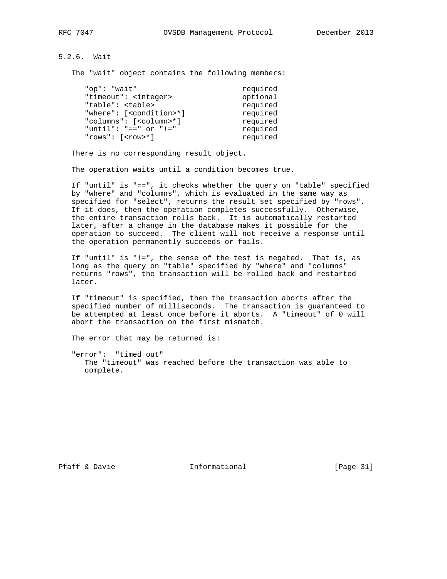5.2.6. Wait

The "wait" object contains the following members:

| required |
|----------|
| optional |
| required |
| required |
| required |
| required |
| required |
|          |

There is no corresponding result object.

The operation waits until a condition becomes true.

 If "until" is "==", it checks whether the query on "table" specified by "where" and "columns", which is evaluated in the same way as specified for "select", returns the result set specified by "rows". If it does, then the operation completes successfully. Otherwise, the entire transaction rolls back. It is automatically restarted later, after a change in the database makes it possible for the operation to succeed. The client will not receive a response until the operation permanently succeeds or fails.

 If "until" is "!=", the sense of the test is negated. That is, as long as the query on "table" specified by "where" and "columns" returns "rows", the transaction will be rolled back and restarted later.

 If "timeout" is specified, then the transaction aborts after the specified number of milliseconds. The transaction is guaranteed to be attempted at least once before it aborts. A "timeout" of 0 will abort the transaction on the first mismatch.

The error that may be returned is:

 "error": "timed out" The "timeout" was reached before the transaction was able to complete.

Pfaff & Davie **Informational** [Page 31]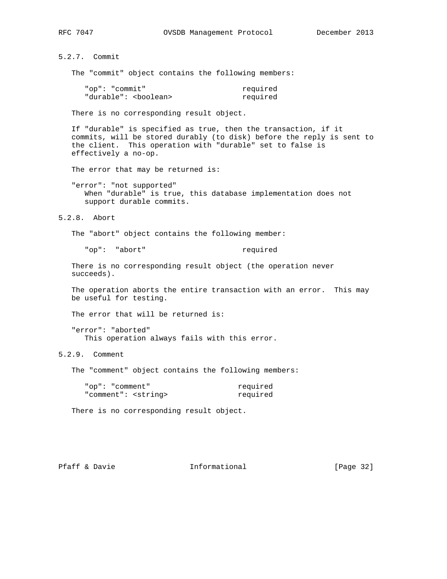5.2.7. Commit

The "commit" object contains the following members:

| "op": "commit"                 | required |
|--------------------------------|----------|
| "durable": <boolean></boolean> | required |

There is no corresponding result object.

 If "durable" is specified as true, then the transaction, if it commits, will be stored durably (to disk) before the reply is sent to the client. This operation with "durable" set to false is effectively a no-op.

The error that may be returned is:

 "error": "not supported" When "durable" is true, this database implementation does not support durable commits.

5.2.8. Abort

The "abort" object contains the following member:

"op": "abort" required

 There is no corresponding result object (the operation never succeeds).

 The operation aborts the entire transaction with an error. This may be useful for testing.

The error that will be returned is:

 "error": "aborted" This operation always fails with this error.

5.2.9. Comment

The "comment" object contains the following members:

| "op": "comment"              | required |
|------------------------------|----------|
| "comment": <string></string> | required |

There is no corresponding result object.

Pfaff & Davie **Informational** [Page 32]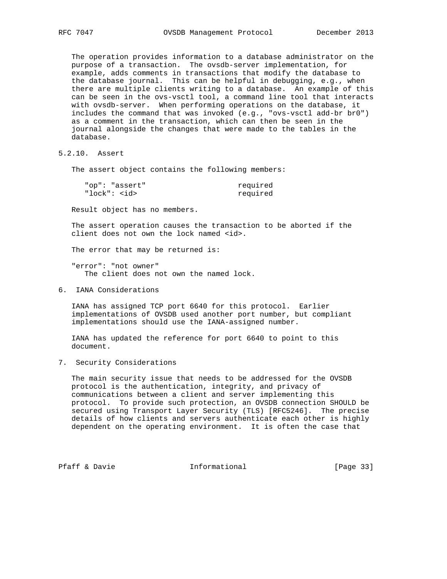The operation provides information to a database administrator on the purpose of a transaction. The ovsdb-server implementation, for example, adds comments in transactions that modify the database to the database journal. This can be helpful in debugging, e.g., when there are multiple clients writing to a database. An example of this can be seen in the ovs-vsctl tool, a command line tool that interacts with ovsdb-server. When performing operations on the database, it includes the command that was invoked (e.g., "ovs-vsctl add-br br0") as a comment in the transaction, which can then be seen in the journal alongside the changes that were made to the tables in the database.

5.2.10. Assert

The assert object contains the following members:

| "op": "assert" | required |
|----------------|----------|
| " $lock" : $   | required |

Result object has no members.

 The assert operation causes the transaction to be aborted if the client does not own the lock named <id>.

The error that may be returned is:

 "error": "not owner" The client does not own the named lock.

6. IANA Considerations

 IANA has assigned TCP port 6640 for this protocol. Earlier implementations of OVSDB used another port number, but compliant implementations should use the IANA-assigned number.

 IANA has updated the reference for port 6640 to point to this document.

7. Security Considerations

 The main security issue that needs to be addressed for the OVSDB protocol is the authentication, integrity, and privacy of communications between a client and server implementing this protocol. To provide such protection, an OVSDB connection SHOULD be secured using Transport Layer Security (TLS) [RFC5246]. The precise details of how clients and servers authenticate each other is highly dependent on the operating environment. It is often the case that

Pfaff & Davie **Informational** [Page 33]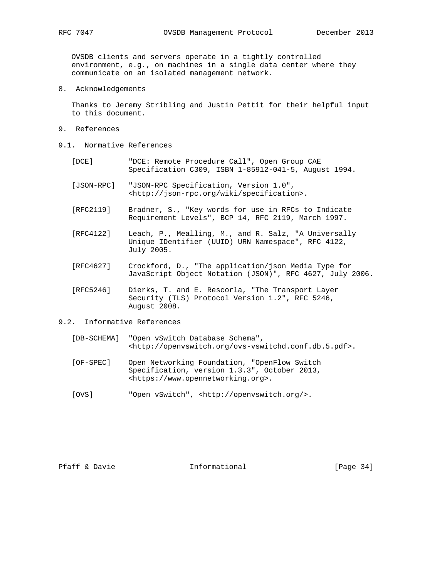OVSDB clients and servers operate in a tightly controlled environment, e.g., on machines in a single data center where they communicate on an isolated management network.

8. Acknowledgements

 Thanks to Jeremy Stribling and Justin Pettit for their helpful input to this document.

- 9. References
- 9.1. Normative References
	- [DCE] "DCE: Remote Procedure Call", Open Group CAE Specification C309, ISBN 1-85912-041-5, August 1994.
	- [JSON-RPC] "JSON-RPC Specification, Version 1.0", <http://json-rpc.org/wiki/specification>.
	- [RFC2119] Bradner, S., "Key words for use in RFCs to Indicate Requirement Levels", BCP 14, RFC 2119, March 1997.
	- [RFC4122] Leach, P., Mealling, M., and R. Salz, "A Universally Unique IDentifier (UUID) URN Namespace", RFC 4122, July 2005.
	- [RFC4627] Crockford, D., "The application/json Media Type for JavaScript Object Notation (JSON)", RFC 4627, July 2006.
	- [RFC5246] Dierks, T. and E. Rescorla, "The Transport Layer Security (TLS) Protocol Version 1.2", RFC 5246, August 2008.

# 9.2. Informative References

- [DB-SCHEMA] "Open vSwitch Database Schema", <http://openvswitch.org/ovs-vswitchd.conf.db.5.pdf>.
- [OF-SPEC] Open Networking Foundation, "OpenFlow Switch Specification, version 1.3.3", October 2013, <https://www.opennetworking.org>.
- [OVS] "Open vSwitch", <http://openvswitch.org/>.

Pfaff & Davie **Informational** [Page 34]